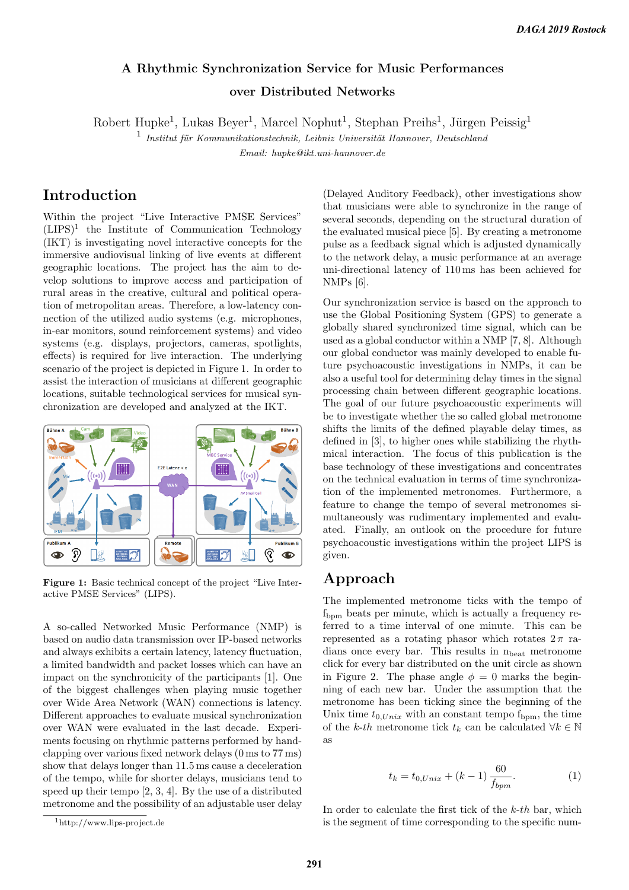# A Rhythmic Synchronization Service for Music Performances over Distributed Networks

Robert Hupke<sup>1</sup>, Lukas Beyer<sup>1</sup>, Marcel Nophut<sup>1</sup>, Stephan Preihs<sup>1</sup>, Jürgen Peissig<sup>1</sup>

 $\frac{1}{1}$  Institut für Kommunikationstechnik, Leibniz Universität Hannover, Deutschland

Email: hupke@ikt.uni-hannover.de

## Introduction

Within the project "Live Interactive PMSE Services"  $(LIPS)^1$  the Institute of Communication Technology (IKT) is investigating novel interactive concepts for the immersive audiovisual linking of live events at different geographic locations. The project has the aim to develop solutions to improve access and participation of rural areas in the creative, cultural and political operation of metropolitan areas. Therefore, a low-latency connection of the utilized audio systems (e.g. microphones, in-ear monitors, sound reinforcement systems) and video systems (e.g. displays, projectors, cameras, spotlights, effects) is required for live interaction. The underlying scenario of the project is depicted in Figure 1. In order to assist the interaction of musicians at different geographic locations, suitable technological services for musical synchronization are developed and analyzed at the IKT.



Figure 1: Basic technical concept of the project "Live Interactive PMSE Services" (LIPS).

A so-called Networked Music Performance (NMP) is based on audio data transmission over IP-based networks and always exhibits a certain latency, latency fluctuation, a limited bandwidth and packet losses which can have an impact on the synchronicity of the participants [1]. One of the biggest challenges when playing music together over Wide Area Network (WAN) connections is latency. Different approaches to evaluate musical synchronization over WAN were evaluated in the last decade. Experiments focusing on rhythmic patterns performed by handclapping over various fixed network delays (0 ms to 77 ms) show that delays longer than 11.5 ms cause a deceleration of the tempo, while for shorter delays, musicians tend to speed up their tempo [2, 3, 4]. By the use of a distributed metronome and the possibility of an adjustable user delay (Delayed Auditory Feedback), other investigations show that musicians were able to synchronize in the range of several seconds, depending on the structural duration of the evaluated musical piece [5]. By creating a metronome pulse as a feedback signal which is adjusted dynamically to the network delay, a music performance at an average uni-directional latency of 110 ms has been achieved for NMPs [6].

Our synchronization service is based on the approach to use the Global Positioning System (GPS) to generate a globally shared synchronized time signal, which can be used as a global conductor within a NMP [7, 8]. Although our global conductor was mainly developed to enable future psychoacoustic investigations in NMPs, it can be also a useful tool for determining delay times in the signal processing chain between different geographic locations. The goal of our future psychoacoustic experiments will be to investigate whether the so called global metronome shifts the limits of the defined playable delay times, as defined in [3], to higher ones while stabilizing the rhythmical interaction. The focus of this publication is the base technology of these investigations and concentrates on the technical evaluation in terms of time synchronization of the implemented metronomes. Furthermore, a feature to change the tempo of several metronomes simultaneously was rudimentary implemented and evaluated. Finally, an outlook on the procedure for future psychoacoustic investigations within the project LIPS is given.

## Approach

The implemented metronome ticks with the tempo of  $f_{\text{bmm}}$  beats per minute, which is actually a frequency referred to a time interval of one minute. This can be represented as a rotating phasor which rotates  $2\pi$  radians once every bar. This results in  $n_{\text{beat}}$  metronome click for every bar distributed on the unit circle as shown in Figure 2. The phase angle  $\phi = 0$  marks the beginning of each new bar. Under the assumption that the metronome has been ticking since the beginning of the Unix time  $t_{0,Unix}$  with an constant tempo  $f_{\text{bpm}}$ , the time of the k-th metronome tick  $t_k$  can be calculated  $\forall k \in \mathbb{N}$ as

$$
t_k = t_{0,Unix} + (k - 1) \frac{60}{f_{bpm}}.
$$
 (1)

In order to calculate the first tick of the  $k$ -th bar, which is the segment of time corresponding to the specific num-

<sup>1</sup>http://www.lips-project.de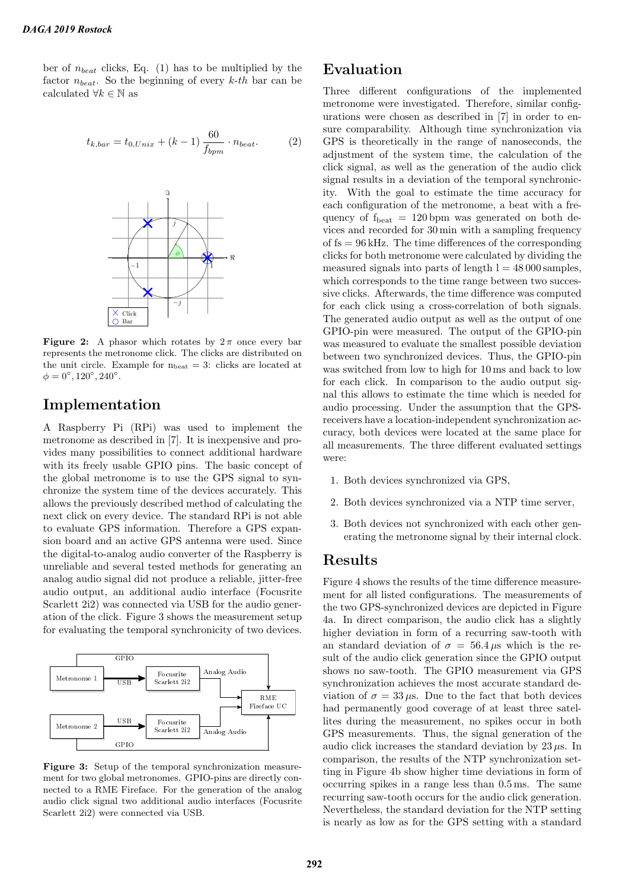ber of  $n_{beat}$  clicks, Eq. (1) has to be multiplied by the factor  $n_{beat}$ . So the beginning of every k-th bar can be calculated  $\forall k \in \mathbb{N}$  as

$$
t_{k,bar} = t_{0,Unix} + (k - 1) \frac{60}{f_{bpm}} \cdot n_{beat}. \tag{2}
$$



Figure 2: A phasor which rotates by  $2\pi$  once every bar represents the metronome click. The clicks are distributed on the unit circle. Example for  $n_{\text{beat}} = 3$ : clicks are located at  $\phi = 0^{\circ}, 120^{\circ}, 240^{\circ}.$ 

### Implementation

A Raspberry Pi (RPi) was used to implement the metronome as described in [7]. It is inexpensive and provides many possibilities to connect additional hardware with its freely usable GPIO pins. The basic concept of the global metronome is to use the GPS signal to synchronize the system time of the devices accurately. This allows the previously described method of calculating the next click on every device. The standard RPi is not able to evaluate GPS information. Therefore a GPS expansion board and an active GPS antenna were used. Since the digital-to-analog audio converter of the Raspberry is unreliable and several tested methods for generating an analog audio signal did not produce a reliable, jitter-free audio output, an additional audio interface (Focusrite Scarlett 2i2) was connected via USB for the audio generation of the click. Figure 3 shows the measurement setup for evaluating the temporal synchronicity of two devices.



Figure 3: Setup of the temporal synchronization measurement for two global metronomes. GPIO-pins are directly connected to a RME Fireface. For the generation of the analog audio click signal two additional audio interfaces (Focusrite Scarlett 2i2) were connected via USB.

#### Evaluation

Three different configurations of the implemented metronome were investigated. Therefore, similar configurations were chosen as described in [7] in order to ensure comparability. Although time synchronization via GPS is theoretically in the range of nanoseconds, the adjustment of the system time, the calculation of the click signal, as well as the generation of the audio click signal results in a deviation of the temporal synchronicity. With the goal to estimate the time accuracy for each configuration of the metronome, a beat with a frequency of  $f_{\text{beat}} = 120 \text{ bpm}$  was generated on both devices and recorded for 30 min with a sampling frequency of  $fs = 96$  kHz. The time differences of the corresponding clicks for both metronome were calculated by dividing the measured signals into parts of length  $l = 48000$  samples, which corresponds to the time range between two successive clicks. Afterwards, the time difference was computed for each click using a cross-correlation of both signals. The generated audio output as well as the output of one GPIO-pin were measured. The output of the GPIO-pin was measured to evaluate the smallest possible deviation between two synchronized devices. Thus, the GPIO-pin was switched from low to high for 10 ms and back to low for each click. In comparison to the audio output signal this allows to estimate the time which is needed for audio processing. Under the assumption that the GPSreceivers have a location-independent synchronization accuracy, both devices were located at the same place for all measurements. The three different evaluated settings were:

- 1. Both devices synchronized via GPS,
- 2. Both devices synchronized via a NTP time server,
- 3. Both devices not synchronized with each other generating the metronome signal by their internal clock.

#### Results

Figure 4 shows the results of the time difference measurement for all listed configurations. The measurements of the two GPS-synchronized devices are depicted in Figure 4a. In direct comparison, the audio click has a slightly higher deviation in form of a recurring saw-tooth with an standard deviation of  $\sigma = 56.4 \,\mu s$  which is the result of the audio click generation since the GPIO output shows no saw-tooth. The GPIO measurement via GPS synchronization achieves the most accurate standard deviation of  $\sigma = 33 \,\mu s$ . Due to the fact that both devices had permanently good coverage of at least three satellites during the measurement, no spikes occur in both GPS measurements. Thus, the signal generation of the audio click increases the standard deviation by  $23 \mu s$ . In comparison, the results of the NTP synchronization setting in Figure 4b show higher time deviations in form of occurring spikes in a range less than 0.5 ms. The same recurring saw-tooth occurs for the audio click generation. Nevertheless, the standard deviation for the NTP setting is nearly as low as for the GPS setting with a standard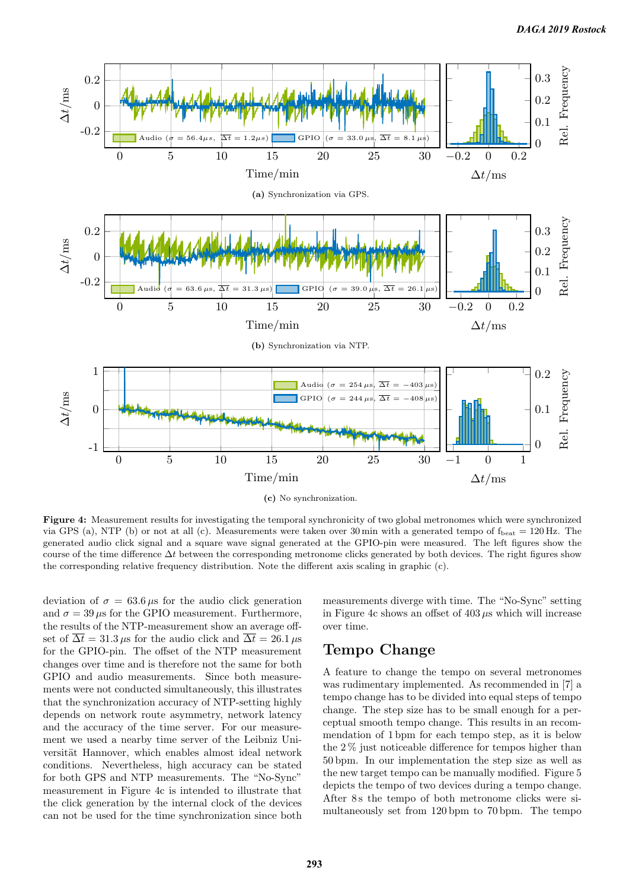

Figure 4: Measurement results for investigating the temporal synchronicity of two global metronomes which were synchronized via GPS (a), NTP (b) or not at all (c). Measurements were taken over 30 min with a generated tempo of  $f_{\text{beat}} = 120 \text{ Hz}$ . The generated audio click signal and a square wave signal generated at the GPIO-pin were measured. The left figures show the course of the time difference  $\Delta t$  between the corresponding metronome clicks generated by both devices. The right figures show the corresponding relative frequency distribution. Note the different axis scaling in graphic (c).

deviation of  $\sigma = 63.6 \,\mu s$  for the audio click generation and  $\sigma = 39 \,\mu s$  for the GPIO measurement. Furthermore, the results of the NTP-measurement show an average offset of  $\overline{\Delta t} = 31.3 \,\mu s$  for the audio click and  $\overline{\Delta t} = 26.1 \,\mu s$ for the GPIO-pin. The offset of the NTP measurement changes over time and is therefore not the same for both GPIO and audio measurements. Since both measurements were not conducted simultaneously, this illustrates that the synchronization accuracy of NTP-setting highly depends on network route asymmetry, network latency and the accuracy of the time server. For our measurement we used a nearby time server of the Leibniz Universität Hannover, which enables almost ideal network conditions. Nevertheless, high accuracy can be stated for both GPS and NTP measurements. The "No-Sync" measurement in Figure 4c is intended to illustrate that the click generation by the internal clock of the devices can not be used for the time synchronization since both

measurements diverge with time. The "No-Sync" setting in Figure 4c shows an offset of  $403 \mu s$  which will increase over time.

# Tempo Change

A feature to change the tempo on several metronomes was rudimentary implemented. As recommended in [7] a tempo change has to be divided into equal steps of tempo change. The step size has to be small enough for a perceptual smooth tempo change. This results in an recommendation of 1 bpm for each tempo step, as it is below the  $2\%$  just noticeable difference for tempos higher than 50 bpm. In our implementation the step size as well as the new target tempo can be manually modified. Figure 5 depicts the tempo of two devices during a tempo change. After 8 s the tempo of both metronome clicks were simultaneously set from 120 bpm to 70 bpm. The tempo